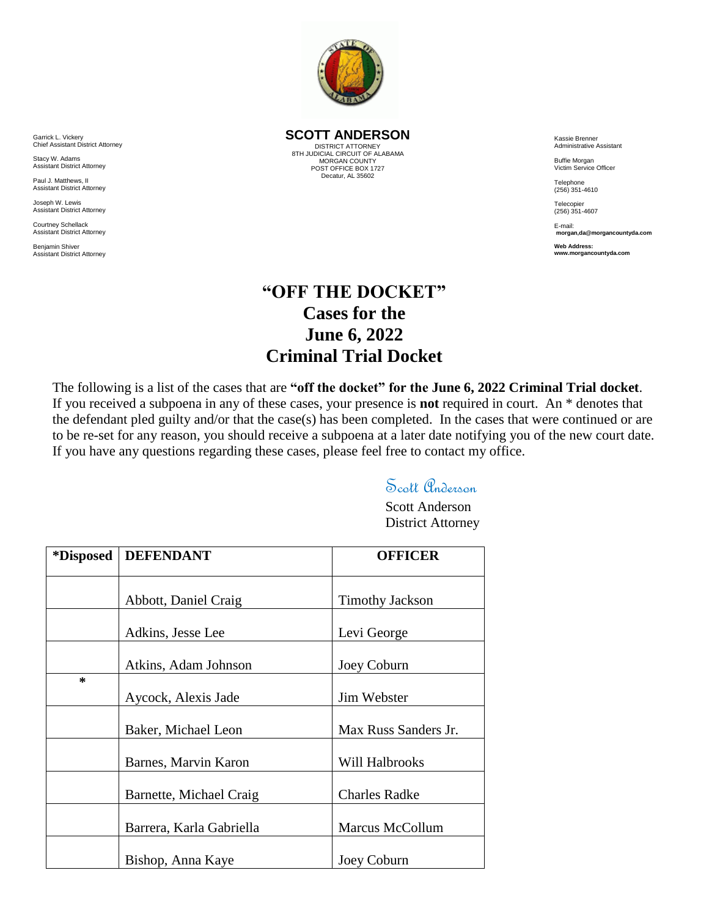

**SCOTT ANDERSON**

DISTRICT ATTORNEY 8TH JUDICIAL CIRCUIT OF ALABAMA MORGAN COUNTY POST OFFICE BOX 1727 Decatur, AL 35602

Kassie Brenner Administrative Assistant

Buffie Morgan Victim Service Officer

**Telephone** (256) 351-4610

Telecopier (256) 351-4607

E-mail: **morgan,da@morgancountyda.com** 

**Web Address: www.morgancountyda.com**

## **"OFF THE DOCKET" Cases for the June 6, 2022 Criminal Trial Docket**

The following is a list of the cases that are **"off the docket" for the June 6, 2022 Criminal Trial docket**. If you received a subpoena in any of these cases, your presence is **not** required in court. An \* denotes that the defendant pled guilty and/or that the case(s) has been completed. In the cases that were continued or are to be re-set for any reason, you should receive a subpoena at a later date notifying you of the new court date. If you have any questions regarding these cases, please feel free to contact my office.

## Scott *Program*

Scott Anderson District Attorney

| *Disposed | <b>DEFENDANT</b>         | <b>OFFICER</b>         |
|-----------|--------------------------|------------------------|
|           | Abbott, Daniel Craig     | <b>Timothy Jackson</b> |
|           | Adkins, Jesse Lee        | Levi George            |
|           | Atkins, Adam Johnson     | Joey Coburn            |
| $\ast$    | Aycock, Alexis Jade      | Jim Webster            |
|           | Baker, Michael Leon      | Max Russ Sanders Jr.   |
|           | Barnes, Marvin Karon     | Will Halbrooks         |
|           | Barnette, Michael Craig  | <b>Charles Radke</b>   |
|           | Barrera, Karla Gabriella | Marcus McCollum        |
|           | Bishop, Anna Kaye        | Joey Coburn            |

Garrick L. Vickery Chief Assistant District Attorney

Stacy W. Adams Assistant District Attorney

Paul J. Matthews, II Assistant District Attorney

Joseph W. Lewis Assistant District Attorney

Courtney Schellack Assistant District Attorney

Benjamin Shiver Assistant District Attorney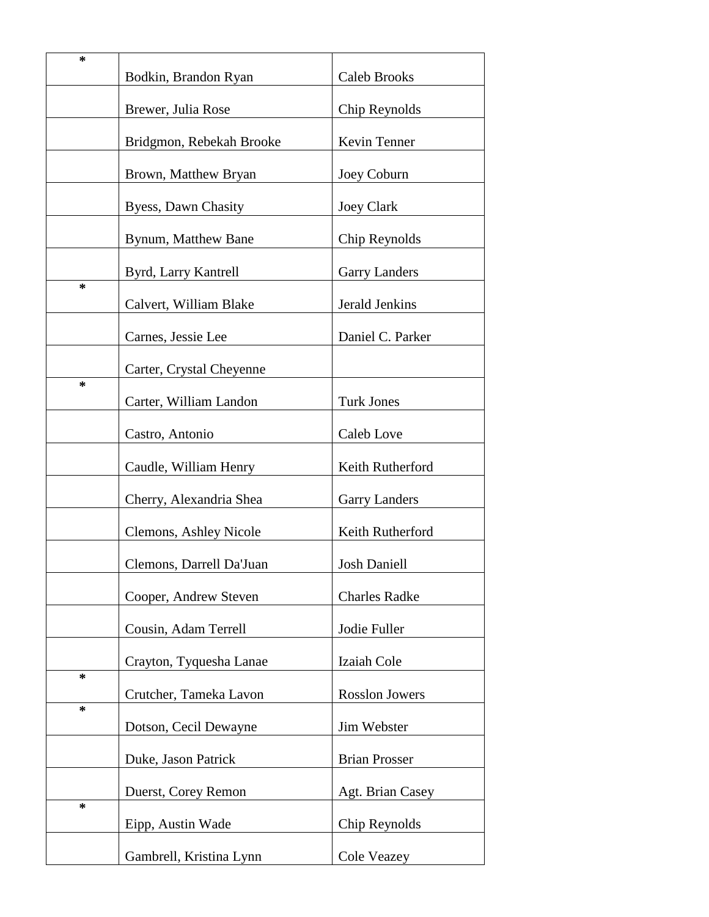| ∗      | Bodkin, Brandon Ryan     | Caleb Brooks          |
|--------|--------------------------|-----------------------|
|        | Brewer, Julia Rose       | Chip Reynolds         |
|        | Bridgmon, Rebekah Brooke | Kevin Tenner          |
|        | Brown, Matthew Bryan     | Joey Coburn           |
|        | Byess, Dawn Chasity      | <b>Joey Clark</b>     |
|        | Bynum, Matthew Bane      | Chip Reynolds         |
|        | Byrd, Larry Kantrell     | <b>Garry Landers</b>  |
| ∗      | Calvert, William Blake   | Jerald Jenkins        |
|        | Carnes, Jessie Lee       | Daniel C. Parker      |
|        | Carter, Crystal Cheyenne |                       |
| ∗      |                          | <b>Turk Jones</b>     |
|        | Carter, William Landon   |                       |
|        | Castro, Antonio          | Caleb Love            |
|        | Caudle, William Henry    | Keith Rutherford      |
|        | Cherry, Alexandria Shea  | <b>Garry Landers</b>  |
|        | Clemons, Ashley Nicole   | Keith Rutherford      |
|        | Clemons, Darrell Da'Juan | <b>Josh Daniell</b>   |
|        | Cooper, Andrew Steven    | <b>Charles Radke</b>  |
|        | Cousin, Adam Terrell     | Jodie Fuller          |
| $\ast$ | Crayton, Tyquesha Lanae  | Izaiah Cole           |
|        | Crutcher, Tameka Lavon   | <b>Rosslon Jowers</b> |
| *      | Dotson, Cecil Dewayne    | Jim Webster           |
|        | Duke, Jason Patrick      | <b>Brian Prosser</b>  |
|        | Duerst, Corey Remon      | Agt. Brian Casey      |
| ∗      | Eipp, Austin Wade        | Chip Reynolds         |
|        | Gambrell, Kristina Lynn  | Cole Veazey           |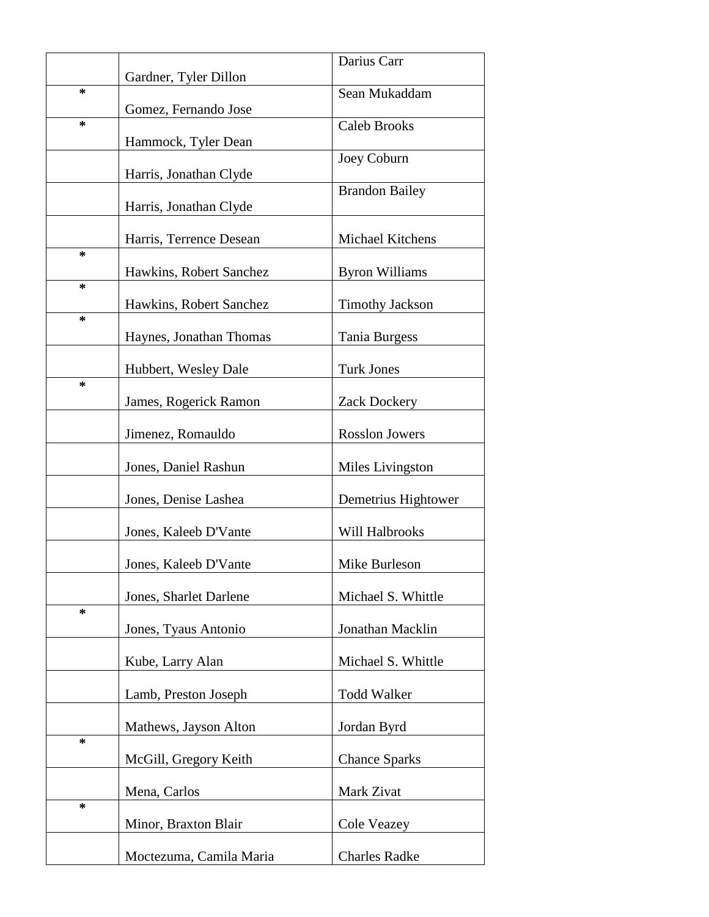|        | Gardner, Tyler Dillon   | Darius Carr            |
|--------|-------------------------|------------------------|
| ∗      |                         | Sean Mukaddam          |
| ∗      | Gomez, Fernando Jose    | <b>Caleb Brooks</b>    |
|        | Hammock, Tyler Dean     | Joey Coburn            |
|        | Harris, Jonathan Clyde  |                        |
|        | Harris, Jonathan Clyde  | <b>Brandon Bailey</b>  |
|        | Harris, Terrence Desean | Michael Kitchens       |
| ∗      | Hawkins, Robert Sanchez | <b>Byron Williams</b>  |
| ∗<br>∗ | Hawkins, Robert Sanchez | <b>Timothy Jackson</b> |
|        | Haynes, Jonathan Thomas | Tania Burgess          |
|        | Hubbert, Wesley Dale    | <b>Turk Jones</b>      |
| ∗      | James, Rogerick Ramon   | Zack Dockery           |
|        | Jimenez, Romauldo       | <b>Rosslon Jowers</b>  |
|        | Jones, Daniel Rashun    | Miles Livingston       |
|        | Jones, Denise Lashea    | Demetrius Hightower    |
|        | Jones, Kaleeb D'Vante   | Will Halbrooks         |
|        | Jones, Kaleeb D'Vante   | Mike Burleson          |
|        | Jones, Sharlet Darlene  | Michael S. Whittle     |
| $\ast$ | Jones, Tyaus Antonio    | Jonathan Macklin       |
|        | Kube, Larry Alan        | Michael S. Whittle     |
|        | Lamb, Preston Joseph    | <b>Todd Walker</b>     |
|        | Mathews, Jayson Alton   | Jordan Byrd            |
| ∗      | McGill, Gregory Keith   | <b>Chance Sparks</b>   |
|        | Mena, Carlos            | Mark Zivat             |
| ∗      | Minor, Braxton Blair    | Cole Veazey            |
|        | Moctezuma, Camila Maria | <b>Charles Radke</b>   |